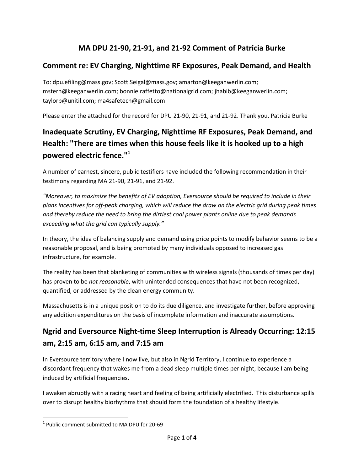#### **MA DPU 21-90, 21-91, and 21-92 Comment of Patricia Burke**

#### **Comment re: EV Charging, Nighttime RF Exposures, Peak Demand, and Health**

To: dpu.efiling@mass.gov; Scott.Seigal@mass.gov; amarton@keeganwerlin.com; mstern@keeganwerlin.com; bonnie.raffetto@nationalgrid.com; jhabib@keeganwerlin.com; taylorp@unitil.com; ma4safetech@gmail.com

Please enter the attached for the record for DPU 21-90, 21-91, and 21-92. Thank you. Patricia Burke

# **Inadequate Scrutiny, EV Charging, Nighttime RF Exposures, Peak Demand, and Health: "There are times when this house feels like it is hooked up to a high powered electric fence."<sup>1</sup>**

A number of earnest, sincere, public testifiers have included the following recommendation in their testimony regarding MA 21-90, 21-91, and 21-92.

*"Moreover, to maximize the benefits of EV adoption, Eversource should be required to include in their plans incentives for off-peak charging, which will reduce the draw on the electric grid during peak times and thereby reduce the need to bring the dirtiest coal power plants online due to peak demands exceeding what the grid can typically supply."*

In theory, the idea of balancing supply and demand using price points to modify behavior seems to be a reasonable proposal, and is being promoted by many individuals opposed to increased gas infrastructure, for example.

The reality has been that blanketing of communities with wireless signals (thousands of times per day) has proven to be *not reasonable*, with unintended consequences that have not been recognized, quantified, or addressed by the clean energy community.

Massachusetts is in a unique position to do its due diligence, and investigate further, before approving any addition expenditures on the basis of incomplete information and inaccurate assumptions.

### **Ngrid and Eversource Night-time Sleep Interruption is Already Occurring: 12:15 am, 2:15 am, 6:15 am, and 7:15 am**

In Eversource territory where I now live, but also in Ngrid Territory, I continue to experience a discordant frequency that wakes me from a dead sleep multiple times per night, because I am being induced by artificial frequencies.

I awaken abruptly with a racing heart and feeling of being artificially electrified. This disturbance spills over to disrupt healthy biorhythms that should form the foundation of a healthy lifestyle.

 $\overline{\phantom{a}}$ 

 $^1$  Public comment submitted to MA DPU for 20-69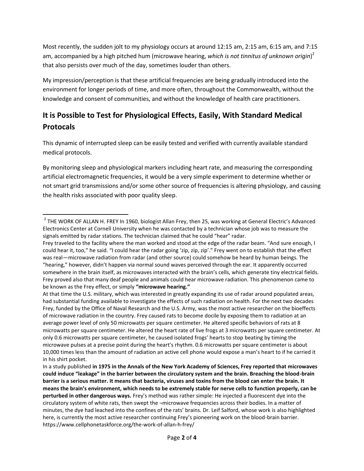Most recently, the sudden jolt to my physiology occurs at around 12:15 am, 2:15 am, 6:15 am, and 7:15 am, accompanied by a high pitched hum (microwave hearing, *which is not tinnitus of unknown origin*) 2 that also persists over much of the day, sometimes louder than others.

My impression/perception is that these artificial frequencies are being gradually introduced into the environment for longer periods of time, and more often, throughout the Commonwealth, without the knowledge and consent of communities, and without the knowledge of health care practitioners.

# **It is Possible to Test for Physiological Effects, Easily, With Standard Medical Protocals**

This dynamic of interrupted sleep can be easily tested and verified with currently available standard medical protocols.

By monitoring sleep and physiological markers including heart rate, and measuring the corresponding artificial electromagnetic frequencies, it would be a very simple experiment to determine whether or not smart grid transmissions and/or some other source of frequencies is altering physiology, and causing the health risks associated with poor quality sleep.

 $\overline{a}$ 

 $2$  THE WORK OF ALLAN H. FREY In 1960, biologist Allan Frey, then 25, was working at General Electric's Advanced Electronics Center at Cornell University when he was contacted by a technician whose job was to measure the signals emitted by radar stations. The technician claimed that he could "hear" radar.

Frey traveled to the facility where the man worked and stood at the edge of the radar beam. "And sure enough, I could hear it, too," he said. "I could hear the radar going 'zip, zip, zip'." Frey went on to establish that the effect was real—microwave radiation from radar (and other source) could somehow be heard by human beings. The "hearing," however, didn't happen via normal sound waves perceived through the ear. It apparently occurred somewhere in the brain itself, as microwaves interacted with the brain's cells, which generate tiny electrical fields. Frey proved also that many deaf people and animals could hear microwave radiation. This phenomenon came to be known as the Frey effect, or simply **"microwave hearing."**

At that time the U.S. military, which was interested in greatly expanding its use of radar around populated areas, had substantial funding available to investigate the effects of such radiation on health. For the next two decades Frey, funded by the Office of Naval Research and the U.S. Army, was the most active researcher on the bioeffects of microwave radiation in the country. Frey caused rats to become docile by exposing them to radiation at an average power level of only 50 microwatts per square centimeter. He altered specific behaviors of rats at 8 microwatts per square centimeter. He altered the heart rate of live frogs at 3 microwatts per square centimeter. At only 0.6 microwatts per square centimeter, he caused isolated frogs' hearts to stop beating by timing the microwave pulses at a precise point during the heart's rhythm. 0.6 microwatts per square centimeter is about 10,000 times less than the amount of radiation an active cell phone would expose a man's heart to if he carried it in his shirt pocket.

In a study published **in 1975 in the Annals of the New York Academy of Sciences, Frey reported that microwaves could induce "leakage" in the barrier between the circulatory system and the brain. Breaching the blood-brain barrier is a serious matter. It means that bacteria, viruses and toxins from the blood can enter the brain. It means the brain's environment, which needs to be extremely stable for nerve cells to function properly, can be perturbed in other dangerous ways.** Frey's method was rather simple: He injected a fluorescent dye into the circulatory system of white rats, then swept the -microwave frequencies across their bodies. In a matter of minutes, the dye had leached into the confines of the rats' brains. Dr. Leif Salford, whose work is also highlighted here, is currently the most active researcher continuing Frey's pioneering work on the blood-brain barrier. https://www.cellphonetaskforce.org/the-work-of-allan-h-frey/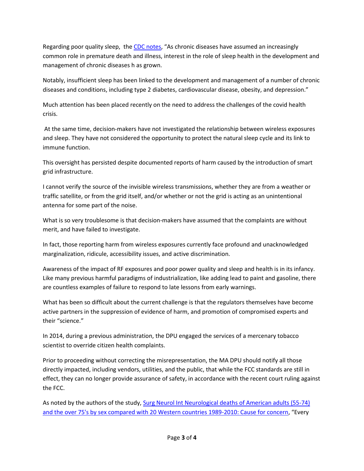Regarding poor quality sleep, the [CDC notes,](http://www.cdc.gov/sleep/about_sleep/chronic_disease.html) "As chronic diseases have assumed an increasingly common role in premature death and illness, interest in the role of sleep health in the development and management of chronic diseases h as grown.

Notably, insufficient sleep has been linked to the development and management of a number of chronic diseases and conditions, including type 2 diabetes, cardiovascular disease, obesity, and depression."

Much attention has been placed recently on the need to address the challenges of the covid health crisis.

At the same time, decision-makers have not investigated the relationship between wireless exposures and sleep. They have not considered the opportunity to protect the natural sleep cycle and its link to immune function.

This oversight has persisted despite documented reports of harm caused by the introduction of smart grid infrastructure.

I cannot verify the source of the invisible wireless transmissions, whether they are from a weather or traffic satellite, or from the grid itself, and/or whether or not the grid is acting as an unintentional antenna for some part of the noise.

What is so very troublesome is that decision-makers have assumed that the complaints are without merit, and have failed to investigate.

In fact, those reporting harm from wireless exposures currently face profound and unacknowledged marginalization, ridicule, accessibility issues, and active discrimination.

Awareness of the impact of RF exposures and poor power quality and sleep and health is in its infancy. Like many previous harmful paradigms of industrialization, like adding lead to paint and gasoline, there are countless examples of failure to respond to late lessons from early warnings.

What has been so difficult about the current challenge is that the regulators themselves have become active partners in the suppression of evidence of harm, and promotion of compromised experts and their "science."

In 2014, during a previous administration, the DPU engaged the services of a mercenary tobacco scientist to override citizen health complaints.

Prior to proceeding without correcting the misrepresentation, the MA DPU should notify all those directly impacted, including vendors, utilities, and the public, that while the FCC standards are still in effect, they can no longer provide assurance of safety, in accordance with the recent court ruling against the FCC.

As noted by the authors of the study[, Surg Neurol Int Neurological deaths of American adults \(55-74\)](https://www.ncbi.nlm.nih.gov/pmc/articles/PMC4521226/)  [and the over 75's by sex compared with 20 Western countries 1989-2010: Cause for concern,](https://www.ncbi.nlm.nih.gov/pmc/articles/PMC4521226/) "Every